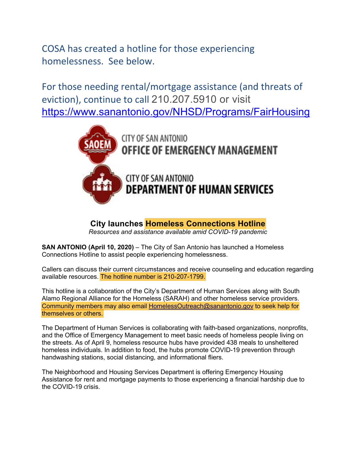COSA has created a hotline for those experiencing homelessness. See below.

For those needing rental/mortgage assistance (and threats of eviction), continue to call 210.207.5910 or visit https://www.sanantonio.gov/NHSD/Programs/FairHousing



**City launches Homeless Connections Hotline**

*Resources and assistance available amid COVID-19 pandemic*

**SAN ANTONIO (April 10, 2020)** – The City of San Antonio has launched a Homeless Connections Hotline to assist people experiencing homelessness.

Callers can discuss their current circumstances and receive counseling and education regarding available resources. The hotline number is 210-207-1799.

This hotline is a collaboration of the City's Department of Human Services along with South Alamo Regional Alliance for the Homeless (SARAH) and other homeless service providers. Community members may also email HomelessOutreach@sanantonio.gov to seek help for themselves or others.

The Department of Human Services is collaborating with faith-based organizations, nonprofits, and the Office of Emergency Management to meet basic needs of homeless people living on the streets. As of April 9, homeless resource hubs have provided 438 meals to unsheltered homeless individuals. In addition to food, the hubs promote COVID-19 prevention through handwashing stations, social distancing, and informational fliers.

The Neighborhood and Housing Services Department is offering Emergency Housing Assistance for rent and mortgage payments to those experiencing a financial hardship due to the COVID-19 crisis.